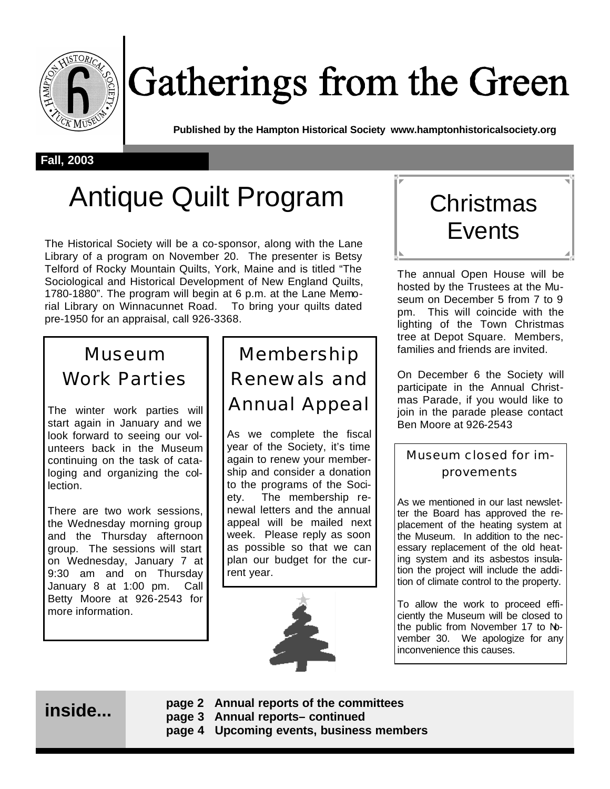

# Gatherings from the Green

**Published by the Hampton Historical Society www.hamptonhistoricalsociety.org**

#### **Fall, 2003**

## Antique Quilt Program | Christmas

The Historical Society will be a co-sponsor, along with the Lane Library of a program on November 20. The presenter is Betsy Telford of Rocky Mountain Quilts, York, Maine and is titled "The Sociological and Historical Development of New England Quilts, 1780-1880". The program will begin at 6 p.m. at the Lane Memorial Library on Winnacunnet Road. To bring your quilts dated pre-1950 for an appraisal, call 926-3368.

## Museum Work Parties

The winter work parties will start again in January and we look forward to seeing our volunteers back in the Museum continuing on the task of cataloging and organizing the collection.

There are two work sessions, the Wednesday morning group and the Thursday afternoon group. The sessions will start on Wednesday, January 7 at 9:30 am and on Thursday January 8 at 1:00 pm. Call Betty Moore at 926-2543 for more information.

Membership Renewals and Annual Appeal

As we complete the fiscal year of the Society, it's time again to renew your membership and consider a donation to the programs of the Society. The membership renewal letters and the annual appeal will be mailed next week. Please reply as soon as possible so that we can plan our budget for the current year.





The annual Open House will be hosted by the Trustees at the Museum on December 5 from 7 to 9 pm. This will coincide with the lighting of the Town Christmas tree at Depot Square. Members, families and friends are invited.

On December 6 the Society will participate in the Annual Christmas Parade, if you would like to join in the parade please contact Ben Moore at 926-2543

### Museum closed for improvements

As we mentioned in our last newsletter the Board has approved the replacement of the heating system at the Museum. In addition to the necessary replacement of the old heating system and its asbestos insulation the project will include the addition of climate control to the property.

To allow the work to proceed efficiently the Museum will be closed to the public from November 17 to November 30. We apologize for any inconvenience this causes.

## **inside...**

- **page 2 Annual reports of the committees page 3 Annual reports– continued**
- **page 4 Upcoming events, business members**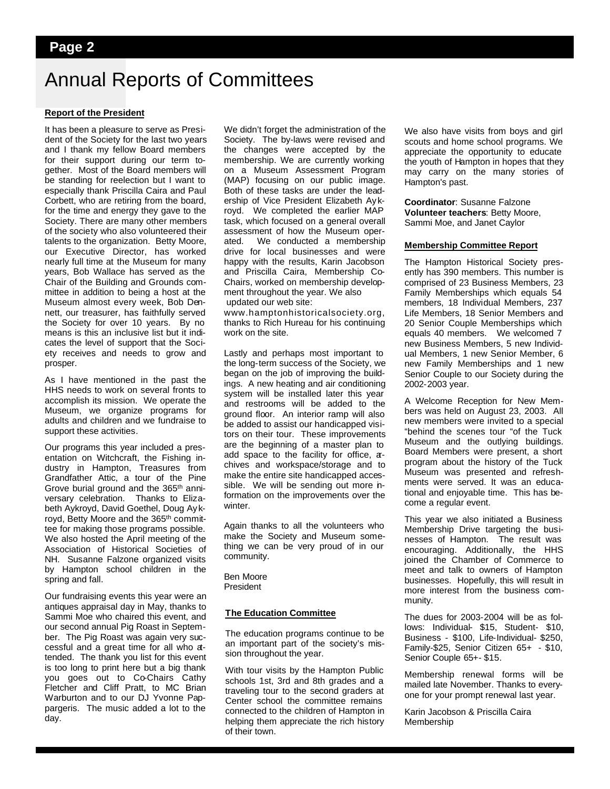### **Page 2**

## Annual Reports of Committees

#### **Report of the President**

It has been a pleasure to serve as President of the Society for the last two years and I thank my fellow Board members for their support during our term together. Most of the Board members will be standing for reelection but I want to especially thank Priscilla Caira and Paul Corbett, who are retiring from the board, for the time and energy they gave to the Society. There are many other members of the society who also volunteered their talents to the organization. Betty Moore, our Executive Director, has worked nearly full time at the Museum for many years, Bob Wallace has served as the Chair of the Building and Grounds committee in addition to being a host at the Museum almost every week, Bob Dennett, our treasurer, has faithfully served the Society for over 10 years. By no means is this an inclusive list but it indicates the level of support that the Society receives and needs to grow and prosper.

As I have mentioned in the past the HHS needs to work on several fronts to accomplish its mission. We operate the Museum, we organize programs for adults and children and we fundraise to support these activities.

Our programs this year included a presentation on Witchcraft, the Fishing industry in Hampton, Treasures from Grandfather Attic, a tour of the Pine Grove burial ground and the 365th anniversary celebration. Thanks to Elizabeth Aykroyd, David Goethel, Doug Ay kroyd, Betty Moore and the 365th committee for making those programs possible. We also hosted the April meeting of the Association of Historical Societies of NH. Susanne Falzone organized visits by Hampton school children in the spring and fall.

Our fundraising events this year were an antiques appraisal day in May, thanks to Sammi Moe who chaired this event, and our second annual Pig Roast in September. The Pig Roast was again very successful and a great time for all who attended. The thank you list for this event is too long to print here but a big thank you goes out to Co-Chairs Cathy Fletcher and Cliff Pratt, to MC Brian Warburton and to our DJ Yvonne Pappargeris. The music added a lot to the day.

We didn't forget the administration of the Society. The by-laws were revised and the changes were accepted by the membership. We are currently working on a Museum Assessment Program (MAP) focusing on our public image. Both of these tasks are under the leadership of Vice President Elizabeth Ay kroyd. We completed the earlier MAP task, which focused on a general overall assessment of how the Museum operated. We conducted a membership drive for local businesses and were happy with the results, Karin Jacobson and Priscilla Caira, Membership Co-Chairs, worked on membership development throughout the year. We also updated our web site:

www.hamptonhistoricalsociety.org, thanks to Rich Hureau for his continuing work on the site.

Lastly and perhaps most important to the long-term success of the Society, we began on the job of improving the buildings. A new heating and air conditioning system will be installed later this year and restrooms will be added to the ground floor. An interior ramp will also be added to assist our handicapped visitors on their tour. These improvements are the beginning of a master plan to add space to the facility for office, archives and workspace/storage and to make the entire site handicapped accessible. We will be sending out more nformation on the improvements over the winter.

Again thanks to all the volunteers who make the Society and Museum something we can be very proud of in our community.

Ben Moore President

#### **The Education Committee**

The education programs continue to be an important part of the society's mission throughout the year.

With tour visits by the Hampton Public schools 1st, 3rd and 8th grades and a traveling tour to the second graders at Center school the committee remains connected to the children of Hampton in helping them appreciate the rich history of their town.

We also have visits from boys and girl scouts and home school programs. We appreciate the opportunity to educate the youth of Hampton in hopes that they may carry on the many stories of Hampton's past.

**Coordinator**: Susanne Falzone **Volunteer teachers**: Betty Moore, Sammi Moe, and Janet Caylor

#### **Membership Committee Report**

The Hampton Historical Society presently has 390 members. This number is comprised of 23 Business Members, 23 Family Memberships which equals 54 members, 18 Individual Members, 237 Life Members, 18 Senior Members and 20 Senior Couple Memberships which equals 40 members. We welcomed 7 new Business Members, 5 new Individual Members, 1 new Senior Member, 6 new Family Memberships and 1 new Senior Couple to our Society during the 2002-2003 year.

A Welcome Reception for New Members was held on August 23, 2003. All new members were invited to a special "behind the scenes tour "of the Tuck Museum and the outlying buildings. Board Members were present, a short program about the history of the Tuck Museum was presented and refreshments were served. It was an educational and enjoyable time. This has become a regular event.

This year we also initiated a Business Membership Drive targeting the businesses of Hampton. The result was encouraging. Additionally, the HHS joined the Chamber of Commerce to meet and talk to owners of Hampton businesses. Hopefully, this will result in more interest from the business community.

The dues for 2003-2004 will be as follows: Individual- \$15, Student- \$10, Business - \$100, Life-Individual- \$250, Family-\$25, Senior Citizen 65+ - \$10, Senior Couple 65+- \$15.

Membership renewal forms will be mailed late November. Thanks to everyone for your prompt renewal last year.

Karin Jacobson & Priscilla Caira Membership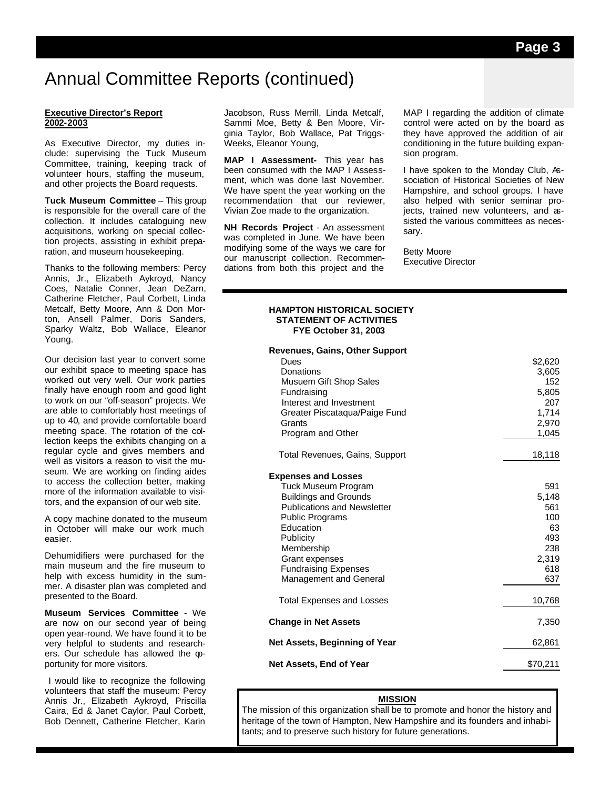## Annual Committee Reports (continued)

#### **Executive Director's Report 2002-2003**

As Executive Director, my duties include: supervising the Tuck Museum Committee, training, keeping track of volunteer hours, staffing the museum, and other projects the Board requests.

**Tuck Museum Committee** – This group is responsible for the overall care of the collection. It includes cataloguing new acquisitions, working on special collection projects, assisting in exhibit preparation, and museum housekeeping.

Thanks to the following members: Percy Annis, Jr., Elizabeth Aykroyd, Nancy Coes, Natalie Conner, Jean DeZarn, Catherine Fletcher, Paul Corbett, Linda Metcalf, Betty Moore, Ann & Don Morton, Ansell Palmer, Doris Sanders, Sparky Waltz, Bob Wallace, Eleanor Young.

Our decision last year to convert some our exhibit space to meeting space has worked out very well. Our work parties finally have enough room and good light to work on our "off-season" projects. We are able to comfortably host meetings of up to 40, and provide comfortable board meeting space. The rotation of the collection keeps the exhibits changing on a regular cycle and gives members and well as visitors a reason to visit the museum. We are working on finding aides to access the collection better, making more of the information available to visitors, and the expansion of our web site.

A copy machine donated to the museum in October will make our work much easier.

Dehumidifiers were purchased for the main museum and the fire museum to help with excess humidity in the summer. A disaster plan was completed and presented to the Board.

**Museum Services Committee** - We are now on our second year of being open year-round. We have found it to be very helpful to students and researchers. Our schedule has allowed the opportunity for more visitors.

 I would like to recognize the following volunteers that staff the museum: Percy Annis Jr., Elizabeth Aykroyd, Priscilla Caira, Ed & Janet Caylor, Paul Corbett, Bob Dennett, Catherine Fletcher, Karin

Jacobson, Russ Merrill, Linda Metcalf, Sammi Moe, Betty & Ben Moore, Virginia Taylor, Bob Wallace, Pat Triggs-Weeks, Eleanor Young,

**MAP I Assessment-** This year has been consumed with the MAP I Assessment, which was done last November. We have spent the year working on the recommendation that our reviewer, Vivian Zoe made to the organization.

**NH Records Project** - An assessment was completed in June. We have been modifying some of the ways we care for our manuscript collection. Recommendations from both this project and the

MAP I regarding the addition of climate control were acted on by the board as they have approved the addition of air conditioning in the future building expansion program.

I have spoken to the Monday Club, Association of Historical Societies of New Hampshire, and school groups. I have also helped with senior seminar projects, trained new volunteers, and assisted the various committees as necessary.

Betty Moore Executive Director

#### **HAMPTON HISTORICAL SOCIETY STATEMENT OF ACTIVITIES FYE October 31, 2003**

| <b>Revenues, Gains, Other Support</b><br>Dues<br>Donations<br>Musuem Gift Shop Sales<br>Fundraising<br>Interest and Investment<br>Greater Piscatagua/Paige Fund<br>Grants<br>Program and Other                                                                       | \$2,620<br>3,605<br>152<br>5,805<br>207<br>1,714<br>2,970<br>1,045    |
|----------------------------------------------------------------------------------------------------------------------------------------------------------------------------------------------------------------------------------------------------------------------|-----------------------------------------------------------------------|
| Total Revenues, Gains, Support                                                                                                                                                                                                                                       | 18,118                                                                |
| <b>Expenses and Losses</b><br>Tuck Museum Program<br><b>Buildings and Grounds</b><br><b>Publications and Newsletter</b><br><b>Public Programs</b><br>Education<br>Publicity<br>Membership<br>Grant expenses<br><b>Fundraising Expenses</b><br>Management and General | 591<br>5,148<br>561<br>100<br>63<br>493<br>238<br>2,319<br>618<br>637 |
| <b>Total Expenses and Losses</b>                                                                                                                                                                                                                                     | 10,768                                                                |
| <b>Change in Net Assets</b>                                                                                                                                                                                                                                          | 7,350                                                                 |
| Net Assets, Beginning of Year                                                                                                                                                                                                                                        | 62,861                                                                |
| <b>Net Assets, End of Year</b>                                                                                                                                                                                                                                       | \$70,211                                                              |

#### **MISSION**

The mission of this organization shall be to promote and honor the history and heritage of the town of Hampton, New Hampshire and its founders and inhabitants; and to preserve such history for future generations.